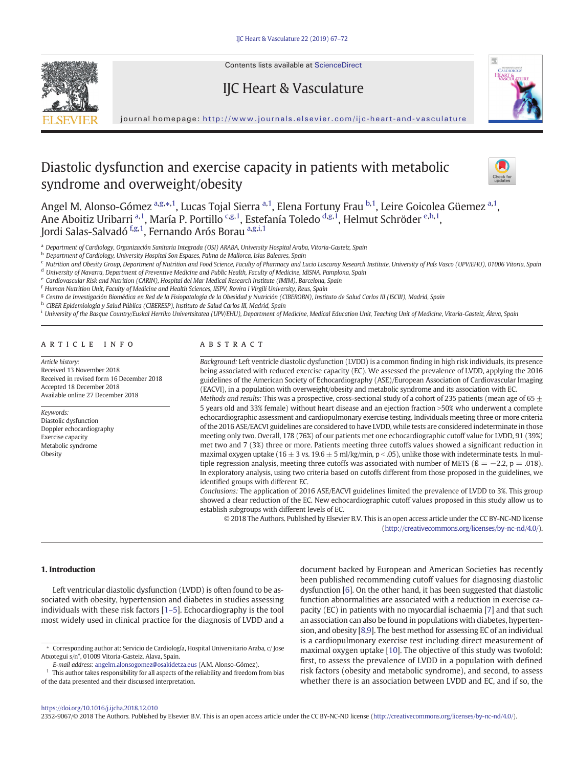

Contents lists available at [ScienceDirect](http://www.sciencedirect.com/science/journal/23529067)

# IJC Heart & Vasculature



journal homepage: <http://www.journals.elsevier.com/ijc-heart-and-vasculature>

# Diastolic dysfunction and exercise capacity in patients with metabolic syndrome and overweight/obesity



Angel M. Alonso-Gómez a,g, $\ast,1$ , Lucas Tojal Sierra <sup>a, 1</sup>, Elena Fortuny Frau <sup>b, 1</sup>, Leire Goicolea Güemez <sup>a, 1</sup>, Ane Aboitiz Uribarri <sup>a,1</sup>, María P. Portillo <sup>c,g,1</sup>, Estefanía Toledo <sup>d,g,1</sup>, Helmut Schröder <sup>e,h,1</sup>, Jordi Salas-Salvadó <sup>f,g,1</sup>, Fernando Arós Borau <sup>a,g,i,1</sup>

<sup>a</sup> Department of Cardiology, Organización Sanitaria Integrada (OSI) ARABA, University Hospital Araba, Vitoria-Gasteiz, Spain

**b** Department of Cardiology, University Hospital Son Espases, Palma de Mallorca, Islas Baleares, Spain

<sup>c</sup> Nutrition and Obesity Group, Department of Nutrition and Food Science, Faculty of Pharmacy and Lucio Lascaray Research Institute, University of País Vasco (UPV/EHU), 01006 Vitoria, Spain

<sup>d</sup> University of Navarra, Department of Preventive Medicine and Public Health, Faculty of Medicine, IdiSNA, Pamplona, Spain

<sup>e</sup> Cardiovascular Risk and Nutrition (CARIN), Hospital del Mar Medical Research Institute (IMIM), Barcelona, Spain

<sup>f</sup> Human Nutrition Unit, Faculty of Medicine and Health Sciences, IISPV, Rovira i Virgili University, Reus, Spain

<sup>g</sup> Centro de Investigación Biomédica en Red de la Fisiopatología de la Obesidad y Nutrición (CIBEROBN), Instituto de Salud Carlos III (ISCIII), Madrid, Spain

<sup>h</sup> CIBER Epidemiologia y Salud Pública (CIBERESP), Instituto de Salud Carlos III, Madrid, Spain

<sup>i</sup> University of the Basque Country/Euskal Herriko Univertsitatea (UPV/EHU), Department of Medicine, Medical Education Unit, Teaching Unit of Medicine, Vitoria-Gasteiz, Álava, Spain

#### article info abstract

Article history: Received 13 November 2018 Received in revised form 16 December 2018 Accepted 18 December 2018 Available online 27 December 2018

#### Keywords:

Diastolic dysfunction Doppler echocardiography Exercise capacity Metabolic syndrome **Obesity** 

Background: Left ventricle diastolic dysfunction (LVDD) is a common finding in high risk individuals, its presence being associated with reduced exercise capacity (EC). We assessed the prevalence of LVDD, applying the 2016 guidelines of the American Society of Echocardiography (ASE)/European Association of Cardiovascular Imaging (EACVI), in a population with overweight/obesity and metabolic syndrome and its association with EC.

Methods and results: This was a prospective, cross-sectional study of a cohort of 235 patients (mean age of 65  $\pm$ 5 years old and 33% female) without heart disease and an ejection fraction >50% who underwent a complete echocardiographic assessment and cardiopulmonary exercise testing. Individuals meeting three or more criteria of the 2016 ASE/EACVI guidelines are considered to have LVDD, while tests are considered indeterminate in those meeting only two. Overall, 178 (76%) of our patients met one echocardiographic cutoff value for LVDD, 91 (39%) met two and 7 (3%) three or more. Patients meeting three cutoffs values showed a significant reduction in maximal oxygen uptake (16  $\pm$  3 vs. 19.6  $\pm$  5 ml/kg/min, p < .05), unlike those with indeterminate tests. In multiple regression analysis, meeting three cutoffs was associated with number of METS ( $\beta = -2.2$ ,  $p = .018$ ). In exploratory analysis, using two criteria based on cutoffs different from those proposed in the guidelines, we identified groups with different EC.

Conclusions: The application of 2016 ASE/EACVI guidelines limited the prevalence of LVDD to 3%. This group showed a clear reduction of the EC. New echocardiographic cutoff values proposed in this study allow us to establish subgroups with different levels of EC.

© 2018 The Authors. Published by Elsevier B.V. This is an open access article under the CC BY-NC-ND license [\(http://creativecommons.org/licenses/by-nc-nd/4.0/\)](http://creativecommons.org/licenses/by-nc-nd/4.0/).

#### 1. Introduction

Left ventricular diastolic dysfunction (LVDD) is often found to be associated with obesity, hypertension and diabetes in studies assessing individuals with these risk factors [1[–](#page-5-0)5]. Echocardiography is the tool most widely used in clinical practice for the diagnosis of LVDD and a

⁎ Corresponding author at: Servicio de Cardiología, Hospital Universitario Araba, c/ Jose Atxotegui s/n°, 01009 Vitoria-Gasteiz, Alava, Spain.

document backed by European and American Societies has recently been published recommending cutoff values for diagnosing diastolic dysfunction [\[6\]](#page-5-0). On the other hand, it has been suggested that diastolic function abnormalities are associated with a reduction in exercise capacity (EC) in patients with no myocardial ischaemia [[7](#page-5-0)] and that such an association can also be found in populations with diabetes, hypertension, and obesity [\[8,9\]](#page-5-0). The best method for assessing EC of an individual is a cardiopulmonary exercise test including direct measurement of maximal oxygen uptake [\[10\]](#page-5-0). The objective of this study was twofold: first, to assess the prevalence of LVDD in a population with defined risk factors (obesity and metabolic syndrome), and second, to assess whether there is an association between LVDD and EC, and if so, the

2352-9067/© 2018 The Authors. Published by Elsevier B.V. This is an open access article under the CC BY-NC-ND license [\(http://creativecommons.org/licenses/by-nc-nd/4.0/\)](http://creativecommons.org/licenses/by-nc-nd/4.0/).

E-mail address: <angelm.alonsogomez@osakidetza.eus> (A.M. Alonso-Gómez).

<sup>1</sup> This author takes responsibility for all aspects of the reliability and freedom from bias of the data presented and their discussed interpretation.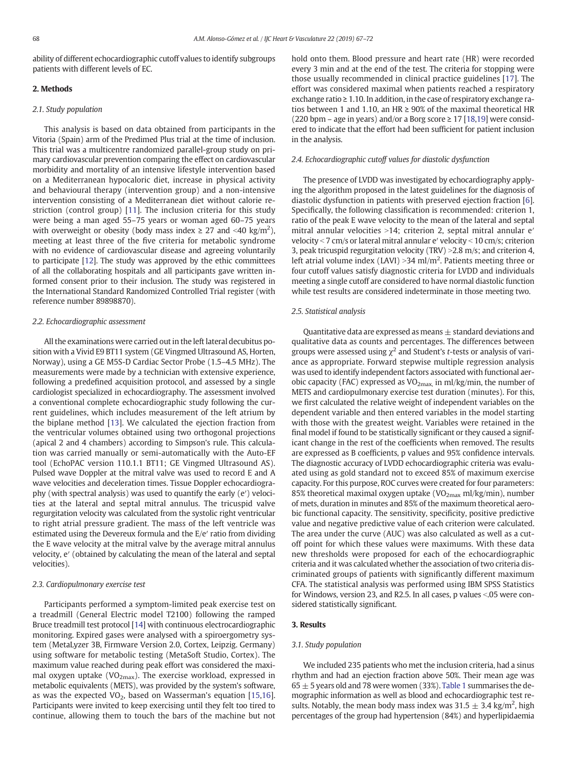ability of different echocardiographic cutoff values to identify subgroups patients with different levels of EC.

#### 2. Methods

## 2.1. Study population

This analysis is based on data obtained from participants in the Vitoria (Spain) arm of the Predimed Plus trial at the time of inclusion. This trial was a multicentre randomized parallel-group study on primary cardiovascular prevention comparing the effect on cardiovascular morbidity and mortality of an intensive lifestyle intervention based on a Mediterranean hypocaloric diet, increase in physical activity and behavioural therapy (intervention group) and a non-intensive intervention consisting of a Mediterranean diet without calorie restriction (control group) [[11\]](#page-5-0). The inclusion criteria for this study were being a man aged 55–75 years or woman aged 60–75 years with overweight or obesity (body mass index  $\geq 27$  and <40 kg/m<sup>2</sup>), meeting at least three of the five criteria for metabolic syndrome with no evidence of cardiovascular disease and agreeing voluntarily to participate [[12\]](#page-5-0). The study was approved by the ethic committees of all the collaborating hospitals and all participants gave written informed consent prior to their inclusion. The study was registered in the International Standard Randomized Controlled Trial register (with reference number 89898870).

## 2.2. Echocardiographic assessment

All the examinations were carried out in the left lateral decubitus position with a Vivid E9 BT11 system (GE Vingmed Ultrasound AS, Horten, Norway), using a GE M5S-D Cardiac Sector Probe (1.5–4.5 MHz). The measurements were made by a technician with extensive experience, following a predefined acquisition protocol, and assessed by a single cardiologist specialized in echocardiography. The assessment involved a conventional complete echocardiographic study following the current guidelines, which includes measurement of the left atrium by the biplane method [\[13](#page-5-0)]. We calculated the ejection fraction from the ventricular volumes obtained using two orthogonal projections (apical 2 and 4 chambers) according to Simpson's rule. This calculation was carried manually or semi-automatically with the Auto-EF tool (EchoPAC version 110.1.1 BT11; GE Vingmed Ultrasound AS). Pulsed wave Doppler at the mitral valve was used to record E and A wave velocities and deceleration times. Tissue Doppler echocardiography (with spectral analysis) was used to quantify the early (e′) velocities at the lateral and septal mitral annulus. The tricuspid valve regurgitation velocity was calculated from the systolic right ventricular to right atrial pressure gradient. The mass of the left ventricle was estimated using the Devereux formula and the E/e′ ratio from dividing the E wave velocity at the mitral valve by the average mitral annulus velocity, e′ (obtained by calculating the mean of the lateral and septal velocities).

#### 2.3. Cardiopulmonary exercise test

Participants performed a symptom-limited peak exercise test on a treadmill (General Electric model T2100) following the ramped Bruce treadmill test protocol [\[14\]](#page-5-0) with continuous electrocardiographic monitoring. Expired gases were analysed with a spiroergometry system (MetaLyzer 3B, Firmware Version 2.0, Cortex, Leipzig. Germany) using software for metabolic testing (MetaSoft Studio, Cortex). The maximum value reached during peak effort was considered the maximal oxygen uptake ( $VO<sub>2max</sub>$ ). The exercise workload, expressed in metabolic equivalents (METS), was provided by the system's software, as was the expected  $VO<sub>2</sub>$ , based on Wasserman's equation [[15,16](#page-5-0)]. Participants were invited to keep exercising until they felt too tired to continue, allowing them to touch the bars of the machine but not hold onto them. Blood pressure and heart rate (HR) were recorded every 3 min and at the end of the test. The criteria for stopping were those usually recommended in clinical practice guidelines [[17\]](#page-5-0). The effort was considered maximal when patients reached a respiratory exchange ratio  $\geq 1.10$ . In addition, in the case of respiratory exchange ratios between 1 and 1.10, an HR  $\geq$  90% of the maximal theoretical HR (220 bpm – age in years) and/or a Borg score  $\geq 17$  [[18,19](#page-5-0)] were considered to indicate that the effort had been sufficient for patient inclusion in the analysis.

#### 2.4. Echocardiographic cutoff values for diastolic dysfunction

The presence of LVDD was investigated by echocardiography applying the algorithm proposed in the latest guidelines for the diagnosis of diastolic dysfunction in patients with preserved ejection fraction [[6](#page-5-0)]. Specifically, the following classification is recommended: criterion 1, ratio of the peak E wave velocity to the mean of the lateral and septal mitral annular velocities >14; criterion 2, septal mitral annular  $e'$ velocity  $<$  7 cm/s or lateral mitral annular e' velocity  $<$  10 cm/s; criterion 3, peak tricuspid regurgitation velocity (TRV)  $>2.8$  m/s; and criterion 4, left atrial volume index (LAVI) > 34 ml/m<sup>2</sup>. Patients meeting three or four cutoff values satisfy diagnostic criteria for LVDD and individuals meeting a single cutoff are considered to have normal diastolic function while test results are considered indeterminate in those meeting two.

#### 2.5. Statistical analysis

Quantitative data are expressed as means  $\pm$  standard deviations and qualitative data as counts and percentages. The differences between groups were assessed using  $\chi^2$  and Student's *t*-tests or analysis of variance as appropriate. Forward stepwise multiple regression analysis was used to identify independent factors associated with functional aerobic capacity (FAC) expressed as  $VO_{2max}$ , in ml/kg/min, the number of METS and cardiopulmonary exercise test duration (minutes). For this, we first calculated the relative weight of independent variables on the dependent variable and then entered variables in the model starting with those with the greatest weight. Variables were retained in the final model if found to be statistically significant or they caused a significant change in the rest of the coefficients when removed. The results are expressed as B coefficients, p values and 95% confidence intervals. The diagnostic accuracy of LVDD echocardiographic criteria was evaluated using as gold standard not to exceed 85% of maximum exercise capacity. For this purpose, ROC curves were created for four parameters: 85% theoretical maximal oxygen uptake ( $VO<sub>2max</sub>$  ml/kg/min), number of mets, duration in minutes and 85% of the maximum theoretical aerobic functional capacity. The sensitivity, specificity, positive predictive value and negative predictive value of each criterion were calculated. The area under the curve (AUC) was also calculated as well as a cutoff point for which these values were maximums. With these data new thresholds were proposed for each of the echocardiographic criteria and it was calculated whether the association of two criteria discriminated groups of patients with significantly different maximum CFA. The statistical analysis was performed using IBM SPSS Statistics for Windows, version 23, and R2.5. In all cases, p values <.05 were considered statistically significant.

#### 3. Results

#### 3.1. Study population

We included 235 patients who met the inclusion criteria, had a sinus rhythm and had an ejection fraction above 50%. Their mean age was  $65 \pm 5$  years old and 78 were women (33%). [Table 1](#page-2-0) summarises the demographic information as well as blood and echocardiographic test results. Notably, the mean body mass index was  $31.5 \pm 3.4$  kg/m<sup>2</sup>, high percentages of the group had hypertension (84%) and hyperlipidaemia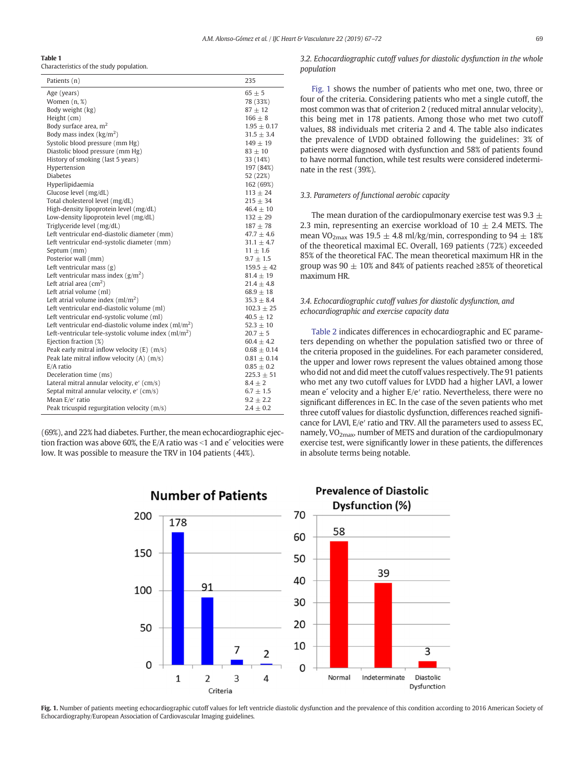# <span id="page-2-0"></span>Table 1

Characteristics of the study population.

| Patients (n)                                               | 235             |
|------------------------------------------------------------|-----------------|
| Age (years)                                                | $65 \pm 5$      |
| Women $(n, \mathcal{X})$                                   | 78 (33%)        |
| Body weight (kg)                                           | $87 \pm 12$     |
| Height (cm)                                                | $166 \pm 8$     |
| Body surface area, $m2$                                    | $1.95 \pm 0.17$ |
| Body mass index $(kg/m2)$                                  | $31.5 + 3.4$    |
| Systolic blood pressure (mm Hg)                            | $149 + 19$      |
| Diastolic blood pressure (mm Hg)                           | $83 + 10$       |
| History of smoking (last 5 years)                          | 33 (14%)        |
| Hypertension                                               | 197 (84%)       |
| <b>Diabetes</b>                                            | 52 (22%)        |
| Hyperlipidaemia                                            | 162 (69%)       |
| Glucose level (mg/dL)                                      | $113 \pm 24$    |
| Total cholesterol level (mg/dL)                            | $215 \pm 34$    |
| High-density lipoprotein level (mg/dL)                     | $46.4 + 10$     |
| Low-density lipoprotein level (mg/dL)                      | $132 + 29$      |
| Triglyceride level (mg/dL)                                 | $187 + 78$      |
| Left ventricular end-diastolic diameter (mm)               | $47.7 \pm 4.6$  |
| Left ventricular end-systolic diameter (mm)                | $31.1 \pm 4.7$  |
| Septum (mm)                                                | $11 \pm 1.6$    |
| Posterior wall (mm)                                        | $9.7 \pm 1.5$   |
| Left ventricular mass $(g)$                                | $159.5 \pm 42$  |
| Left ventricular mass index $(g/m^2)$                      | $81.4 + 19$     |
| Left atrial area $\text{(cm}^2)$                           | $21.4 \pm 4.8$  |
| Left atrial volume (ml)                                    | $68.9 \pm 18$   |
| Left atrial volume index $\text{m1/m}^2$ )                 | $35.3 \pm 8.4$  |
| Left ventricular end-diastolic volume (ml)                 | $102.3 \pm 25$  |
| Left ventricular end-systolic volume (ml)                  | $40.5 \pm 12$   |
| Left ventricular end-diastolic volume index $\rm (ml/m^2)$ | $52.3 + 10$     |
| Left-ventricular tele-systolic volume index $(m/m^2)$      | $20.7 \pm 5$    |
| Ejection fraction (%)                                      | $60.4 \pm 4.2$  |
| Peak early mitral inflow velocity $(E)$ (m/s)              | $0.68 \pm 0.14$ |
| Peak late mitral inflow velocity $(A)$ $(m/s)$             | $0.81 \pm 0.14$ |
| E/A ratio                                                  | $0.85 + 0.2$    |
| Deceleration time (ms)                                     | $225.3 \pm 51$  |
| Lateral mitral annular velocity, e' (cm/s)                 | $8.4 \pm 2$     |
| Septal mitral annular velocity, e' (cm/s)                  | $6.7 \pm 1.5$   |
| Mean E/e' ratio                                            | $9.2 \pm 2.2$   |
| Peak tricuspid regurgitation velocity (m/s)                | $2.4 \pm 0.2$   |

(69%), and 22% had diabetes. Further, the mean echocardiographic ejection fraction was above 60%, the E/A ratio was  $\leq 1$  and e<sup> $\leq$ </sup> velocities were low. It was possible to measure the TRV in 104 patients (44%).

3.2. Echocardiographic cutoff values for diastolic dysfunction in the whole population

Fig. 1 shows the number of patients who met one, two, three or four of the criteria. Considering patients who met a single cutoff, the most common was that of criterion 2 (reduced mitral annular velocity), this being met in 178 patients. Among those who met two cutoff values, 88 individuals met criteria 2 and 4. The table also indicates the prevalence of LVDD obtained following the guidelines: 3% of patients were diagnosed with dysfunction and 58% of patients found to have normal function, while test results were considered indeterminate in the rest (39%).

# 3.3. Parameters of functional aerobic capacity

The mean duration of the cardiopulmonary exercise test was 9.3  $\pm$ 2.3 min, representing an exercise workload of  $10 \pm 2.4$  METS. The mean VO<sub>2max</sub> was 19.5  $\pm$  4.8 ml/kg/min, corresponding to 94  $\pm$  18% of the theoretical maximal EC. Overall, 169 patients (72%) exceeded 85% of the theoretical FAC. The mean theoretical maximum HR in the group was 90  $\pm$  10% and 84% of patients reached ≥85% of theoretical maximum HR.

# 3.4. Echocardiographic cutoff values for diastolic dysfunction, and echocardiographic and exercise capacity data

[Table 2](#page-3-0) indicates differences in echocardiographic and EC parameters depending on whether the population satisfied two or three of the criteria proposed in the guidelines. For each parameter considered, the upper and lower rows represent the values obtained among those who did not and did meet the cutoff values respectively. The 91 patients who met any two cutoff values for LVDD had a higher LAVI, a lower mean e´ velocity and a higher E/e′ ratio. Nevertheless, there were no significant differences in EC. In the case of the seven patients who met three cutoff values for diastolic dysfunction, differences reached significance for LAVI, E/e′ ratio and TRV. All the parameters used to assess EC, namely,  $VO<sub>2max</sub>$ , number of METS and duration of the cardiopulmonary exercise test, were significantly lower in these patients, the differences in absolute terms being notable.



Fig. 1. Number of patients meeting echocardiographic cutoff values for left ventricle diastolic dysfunction and the prevalence of this condition according to 2016 American Society of Echocardiography/European Association of Cardiovascular Imaging guidelines.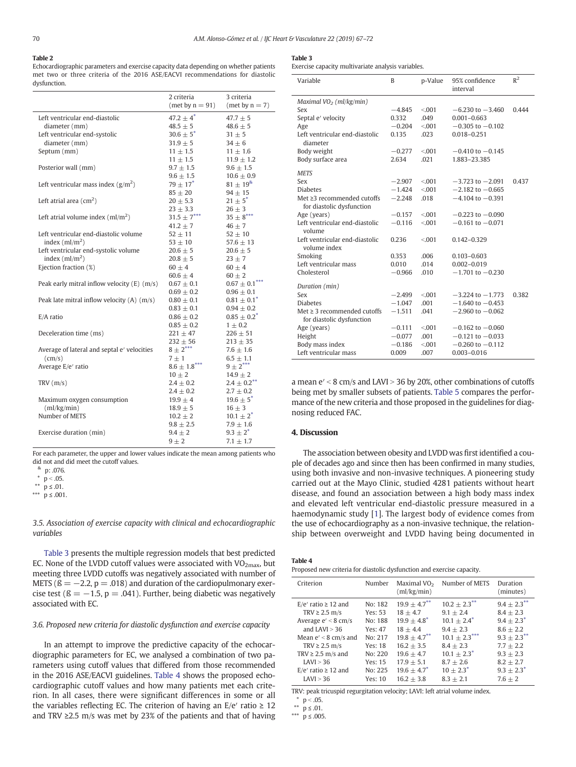# <span id="page-3-0"></span>Table 2

Echocardiographic parameters and exercise capacity data depending on whether patients met two or three criteria of the 2016 ASE/EACVI recommendations for diastolic dysfunction.

#### Table 3

Exercise capacity multivariate analysis variables.

|                                                | 3 criteria<br>2 criteria |                                  |
|------------------------------------------------|--------------------------|----------------------------------|
|                                                | (met by $n = 91$ )       | $(met by n = 7)$                 |
| Left ventricular end-diastolic                 | $47.2 \pm 4^*$           | $47.7 \pm 5$                     |
| diameter (mm)                                  | $48.5 \pm 5$             | $48.6 \pm 5$                     |
| Left ventricular end-systolic                  | $30.6 \pm 5^{*}$         | $31 \pm 5$                       |
| diameter (mm)                                  | $31.9 \pm 5$             | $34 \pm 6$                       |
| Septum (mm)                                    | $11 \pm 1.5$             | $11 \pm 1.6$                     |
|                                                | $11 \pm 1.5$             | $11.9 \pm 1.2$                   |
| Posterior wall (mm)                            | $9.7 \pm 1.5$            | $9.6 \pm 1.5$                    |
|                                                | $9.6 \pm 1.5$            | $10.6 \pm 0.9$                   |
| Left ventricular mass index $(g/m^2)$          | $79 \pm 17^{*}$          | $81 \pm 19^8$                    |
|                                                | $85 \pm 20$              | $94 \pm 15$                      |
| Left atrial area $\text{(cm}^2)$               | $20 \pm 5.3$             | $21 \pm 5^*$                     |
|                                                | $23 \pm 3.3$             | $26 \pm 3$                       |
| Left atrial volume index $\frac{m}{m^2}$       | $31.5 \pm 7***$          | $35\pm8$ $\hspace{-1.5mm}^{***}$ |
|                                                | $41.2 \pm 7$             | $46\pm7$                         |
| Left ventricular end-diastolic volume          | $52 \pm 11$              | $52 \pm 10$                      |
| index $\rm (ml/m^2)$                           | $53 \pm 10$              | 57.6 $\pm$ 13                    |
| Left ventricular end-systolic volume           | $20.6 \pm 5$             | $20.6 \pm 5$                     |
| index $\text{m}$ /m <sup>2</sup> )             | $20.8 \pm 5$             | $23 \pm 7$                       |
| Ejection fraction (%)                          | $60 \pm 4$               | $60 \pm 4$                       |
|                                                | $60.6 \pm 4$             | $60 \pm 2$                       |
| Peak early mitral inflow velocity $(E)$ (m/s)  | $0.67 \pm 0.1$           | $0.67\pm0.1^{***}$               |
|                                                | $0.69 \pm 0.2$           | $0.96 \pm 0.1$                   |
| Peak late mitral inflow velocity $(A)$ $(m/s)$ | $0.80 \pm 0.1$           | $0.81 \pm 0.1^*$                 |
|                                                | $0.83 \pm 0.1$           | $0.94 \pm 0.2$                   |
| E/A ratio                                      | $0.86 \pm 0.2$           | $0.85 \pm 0.2^*$                 |
|                                                | $0.85 \pm 0.2$           | $1 \pm 0.2$                      |
| Deceleration time (ms)                         | $221 \pm 47$             | $226 \pm 51$                     |
|                                                | $232 \pm 56$             | $213 \pm 35$                     |
| Average of lateral and septal e' velocities    | $8 \pm 2$ ***            | $7.6 \pm 1.6$                    |
| (cm/s)                                         | $7 \pm 1$                | $6.5 \pm 1.1$                    |
| Average E/e' ratio                             | $8.6 \pm 1.8***$         | $9 \pm 2***$                     |
|                                                | $10 \pm 2$               | $14.9 \pm 2$                     |
| TRV(m/s)                                       | $2.4 \pm 0.2$            | $2.4 \pm 0.2$ <sup>**</sup>      |
|                                                | $2.4 \pm 0.2$            | $2.7 \pm 0.2$                    |
| Maximum oxygen consumption                     | $19.9 \pm 4$             | $19.6 \pm 5^{*}$                 |
| (ml/kg/min)                                    | $18.9 \pm 5$             | $16 \pm 3$                       |
| Number of METS                                 | $10.2 \pm 2$             | $10.1 \pm 2^*$                   |
|                                                | $9.8 \pm 2.5$            | $7.9 \pm 1.6$                    |
| Exercise duration (min)                        | $9.4 \pm 2$              | $9.3 \pm 2^*$                    |
|                                                | $9 \pm 2$                | $7.1 \pm 1.7$                    |

For each parameter, the upper and lower values indicate the mean among patients who did not and did meet the cutoff values.

 $\frac{8}{1}$  p: .076.

 $p < .05$ .

 $*$   $p$  ≤ .01.

\*\*\*  $p \le .001$ .

3.5. Association of exercise capacity with clinical and echocardiographic variables

Table 3 presents the multiple regression models that best predicted EC. None of the LVDD cutoff values were associated with  $VO<sub>2max</sub>$ , but meeting three LVDD cutoffs was negatively associated with number of METS ( $\beta = -2.2$ ,  $p = .018$ ) and duration of the cardiopulmonary exercise test ( $\beta = -1.5$ , p = .041). Further, being diabetic was negatively associated with EC.

# 3.6. Proposed new criteria for diastolic dysfunction and exercise capacity

In an attempt to improve the predictive capacity of the echocardiographic parameters for EC, we analysed a combination of two parameters using cutoff values that differed from those recommended in the 2016 ASE/EACVI guidelines. Table 4 shows the proposed echocardiographic cutoff values and how many patients met each criterion. In all cases, there were significant differences in some or all the variables reflecting EC. The criterion of having an  $E/e'$  ratio  $\geq 12$ and TRV ≥2.5 m/s was met by 23% of the patients and that of having

| Variable                                       | B        | p-Value | 95% confidence<br>interval | $R^2$ |
|------------------------------------------------|----------|---------|----------------------------|-------|
| Maximal $VO_2$ (ml/kg/min)                     |          |         |                            |       |
| Sex                                            | $-4.845$ | < 0.01  | $-6.230$ to $-3.460$       | 0.444 |
| Septal e' velocity                             | 0.332    | .049    | $0.001 - 0.663$            |       |
| Age                                            | $-0.204$ | < 001   | $-0.305$ to $-0.102$       |       |
| Left ventricular end-diastolic<br>diameter     | 0.135    | .023    | $0.018 - 0.251$            |       |
| Body weight                                    | $-0.277$ | < 0.001 | $-0.410$ to $-0.145$       |       |
| Body surface area                              | 2.634    | .021    | 1.883-23.385               |       |
| <b>METS</b>                                    |          |         |                            |       |
| Sex                                            | $-2.907$ | < 001   | $-3.723$ to $-2.091$       | 0.437 |
| <b>Diabetes</b>                                | $-1.424$ | < 0.001 | $-2.182$ to $-0.665$       |       |
| Met $\geq$ 3 recommended cutoffs               | $-2.248$ | .018    | $-4.104$ to $-0.391$       |       |
| for diastolic dysfunction                      |          |         |                            |       |
| Age (years)                                    | $-0.157$ | < 001   | $-0.223$ to $-0.090$       |       |
| Left ventricular end-diastolic<br>volume       | $-0.116$ | < 0.01  | $-0.161$ to $-0.071$       |       |
| Left ventricular end-diastolic<br>volume index | 0.236    | < 0.001 | $0.142 - 0.329$            |       |
| Smoking                                        | 0.353    | .006    | $0.103 - 0.603$            |       |
| Left ventricular mass                          | 0.010    | .014    | $0.002 - 0.019$            |       |
| Cholesterol                                    | $-0.966$ | .010    | $-1.701$ to $-0.230$       |       |
| Duration (min)                                 |          |         |                            |       |
| Sex                                            | $-2.499$ | < 0.01  | $-3.224$ to $-1.773$       | 0.382 |
| <b>Diabetes</b>                                | $-1.047$ | .001    | $-1.640$ to $-0.453$       |       |
| Met $\geq$ 3 recommended cutoffs               | $-1.511$ | .041    | $-2.960$ to $-0.062$       |       |
| for diastolic dysfunction                      |          |         |                            |       |
| Age (years)                                    | $-0.111$ | < 001   | $-0.162$ to $-0.060$       |       |
| Height                                         | $-0.077$ | .001    | $-0.121$ to $-0.033$       |       |
| Body mass index                                | $-0.186$ | < 001   | $-0.260$ to $-0.112$       |       |
| Left ventricular mass                          | 0.009    | .007    | $0.003 - 0.016$            |       |

a mean  $e' < 8$  cm/s and LAVI  $> 36$  by 20%, other combinations of cutoffs being met by smaller subsets of patients. [Table 5](#page-4-0) compares the performance of the new criteria and those proposed in the guidelines for diagnosing reduced FAC.

#### 4. Discussion

The association between obesity and LVDD was first identified a couple of decades ago and since then has been confirmed in many studies, using both invasive and non-invasive techniques. A pioneering study carried out at the Mayo Clinic, studied 4281 patients without heart disease, and found an association between a high body mass index and elevated left ventricular end-diastolic pressure measured in a haemodynamic study [[1\]](#page-5-0). The largest body of evidence comes from the use of echocardiography as a non-invasive technique, the relationship between overweight and LVDD having being documented in

| Table 4                                                               |  |
|-----------------------------------------------------------------------|--|
| Proposed new criteria for diastolic dysfunction and evercise capacity |  |

| Criterion                  | Number    | Maximal $VO2$<br>(ml/kg/min) | Number of METS    | Duration<br>(minutes) |
|----------------------------|-----------|------------------------------|-------------------|-----------------------|
| $E/e'$ ratio $\geq 12$ and | No: 182   | $19.9 \pm 4.7***$            | $10.2 \pm 2.3$ ** | $9.4 \pm 2.3$ **      |
| TRV $\geq$ 2.5 m/s         | Yes: 53   | $18 + 4.7$                   | $9.1 + 2.4$       | $8.4 + 2.3$           |
| Average $e' < 8$ cm/s      | No: 188   | $19.9 + 4.8^*$               | $10.1 + 2.4^*$    | $9.4 + 2.3^*$         |
| and $IAVI > 36$            | Yes: 47   | $18 + 4.4$                   | $9.4 + 2.3$       | $8.6 + 2.2$           |
| Mean $e' < 8$ cm/s and     | No: 217   | $19.8 + 4.7$ **              | $10.1 + 2.3***$   | $9.3 + 2.3$ **        |
| TRV $\geq$ 2.5 m/s         | Yes: $18$ | $16.2 + 3.5$                 | $8.4 + 2.3$       | $7.7 + 2.2$           |
| TRV $\geq$ 2.5 m/s and     | No: 220   | $19.6 + 4.7$                 | $10.1 + 2.3^*$    | $9.3 + 2.3$           |
| LAVI > 36                  | Yes: 15   | $17.9 + 5.1$                 | $8.7 + 2.6$       | $8.2 + 2.7$           |
| $E/e'$ ratio $\geq 12$ and | No: 225   | $19.6 + 4.7^*$               | $10 + 2.3^*$      | $9.3 + 2.3^*$         |
| LAVI > 36                  | Yes: 10   | $16.2 + 3.8$                 | $8.3 + 2.1$       | $7.6 + 2$             |

TRV: peak tricuspid regurgitation velocity; LAVI: left atrial volume index.

 $p < .05$ .

 $*$  <del>p</del> ≤ .01.

\*\*\*  $p \le .005$ .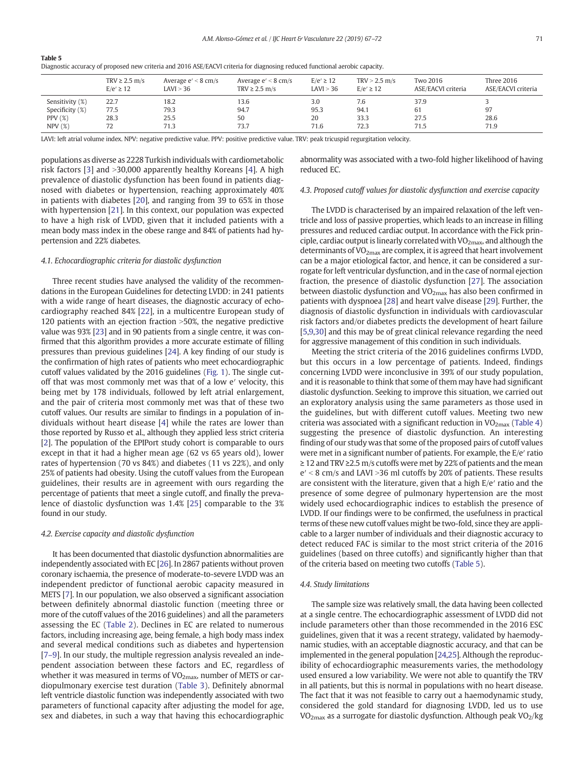functional aerobic capacity.

<span id="page-4-0"></span>

| Table 5                                                                                         |  |
|-------------------------------------------------------------------------------------------------|--|
| Diagnostic accuracy of proposed new criteria and 2016 ASE/EACVI criteria for diagnosing reduced |  |

|                 | TRV $\geq$ 2.5 m/s<br>$E/e' \geq 12$ | Average $e' < 8$ cm/s<br>LAVI > 36 | Average $e' < 8$ cm/s<br>TRV $\geq$ 2.5 m/s | $E/e' \geq 12$<br>LAVI > 36 | $TRV > 2.5$ m/s<br>$E/e' \geq 12$ | Two 2016<br>ASE/EACVI criteria | <b>Three 2016</b><br>ASE/EACVI criteria |
|-----------------|--------------------------------------|------------------------------------|---------------------------------------------|-----------------------------|-----------------------------------|--------------------------------|-----------------------------------------|
| Sensitivity (%) | 22.7                                 | 18.2                               | 13.6                                        | 3.0                         | 7.6                               | 37.9                           |                                         |
| Specificity (%) | 77.5                                 | 79.3                               | 94.7                                        | 95.3                        | 94.1                              | 61                             | 97                                      |
| PPV $(\%)$      | 28.3                                 | 25.5                               | 50                                          | 20                          | 33.3                              | 27.5                           | 28.6                                    |
| NPV(%)          | 72                                   | 71.3                               | 73.7                                        | 71.6                        | 72.3                              | 71.5                           | 71.9                                    |

LAVI: left atrial volume index. NPV: negative predictive value. PPV: positive predictive value. TRV: peak tricuspid regurgitation velocity.

populations as diverse as 2228 Turkish individuals with cardiometabolic risk factors [\[3](#page-5-0)] and  $>$ 30,000 apparently healthy Koreans [[4\]](#page-5-0). A high prevalence of diastolic dysfunction has been found in patients diagnosed with diabetes or hypertension, reaching approximately 40% in patients with diabetes [[20\]](#page-5-0), and ranging from 39 to 65% in those with hypertension [[21\]](#page-5-0). In this context, our population was expected to have a high risk of LVDD, given that it included patients with a mean body mass index in the obese range and 84% of patients had hypertension and 22% diabetes.

# 4.1. Echocardiographic criteria for diastolic dysfunction

Three recent studies have analysed the validity of the recommendations in the European Guidelines for detecting LVDD: in 241 patients with a wide range of heart diseases, the diagnostic accuracy of echocardiography reached 84% [[22\]](#page-5-0), in a multicentre European study of 120 patients with an ejection fraction  $>50%$ , the negative predictive value was 93% [[23\]](#page-5-0) and in 90 patients from a single centre, it was confirmed that this algorithm provides a more accurate estimate of filling pressures than previous guidelines [\[24](#page-5-0)]. A key finding of our study is the confirmation of high rates of patients who meet echocardiographic cutoff values validated by the 2016 guidelines ([Fig. 1\)](#page-2-0). The single cutoff that was most commonly met was that of a low e′ velocity, this being met by 178 individuals, followed by left atrial enlargement, and the pair of criteria most commonly met was that of these two cutoff values. Our results are similar to findings in a population of individuals without heart disease [[4](#page-5-0)] while the rates are lower than those reported by Russo et al., although they applied less strict criteria [\[2\]](#page-5-0). The population of the EPIPort study cohort is comparable to ours except in that it had a higher mean age (62 vs 65 years old), lower rates of hypertension (70 vs 84%) and diabetes (11 vs 22%), and only 25% of patients had obesity. Using the cutoff values from the European guidelines, their results are in agreement with ours regarding the percentage of patients that meet a single cutoff, and finally the prevalence of diastolic dysfunction was 1.4% [\[25\]](#page-5-0) comparable to the 3% found in our study.

#### 4.2. Exercise capacity and diastolic dysfunction

It has been documented that diastolic dysfunction abnormalities are independently associated with EC [\[26](#page-5-0)]. In 2867 patients without proven coronary ischaemia, the presence of moderate-to-severe LVDD was an independent predictor of functional aerobic capacity measured in METS [[7\]](#page-5-0). In our population, we also observed a significant association between definitely abnormal diastolic function (meeting three or more of the cutoff values of the 2016 guidelines) and all the parameters assessing the EC [\(Table 2\)](#page-3-0). Declines in EC are related to numerous factors, including increasing age, being female, a high body mass index and several medical conditions such as diabetes and hypertension [\[7](#page-5-0)–9]. In our study, the multiple regression analysis revealed an independent association between these factors and EC, regardless of whether it was measured in terms of  $VO<sub>2max</sub>$ , number of METS or cardiopulmonary exercise test duration [\(Table 3\)](#page-3-0). Definitely abnormal left ventricle diastolic function was independently associated with two parameters of functional capacity after adjusting the model for age, sex and diabetes, in such a way that having this echocardiographic abnormality was associated with a two-fold higher likelihood of having reduced EC.

# 4.3. Proposed cutoff values for diastolic dysfunction and exercise capacity

The LVDD is characterised by an impaired relaxation of the left ventricle and loss of passive properties, which leads to an increase in filling pressures and reduced cardiac output. In accordance with the Fick principle, cardiac output is linearly correlated with  $VO<sub>2max</sub>$ , and although the determinants of VO<sub>2max</sub> are complex, it is agreed that heart involvement can be a major etiological factor, and hence, it can be considered a surrogate for left ventricular dysfunction, and in the case of normal ejection fraction, the presence of diastolic dysfunction [[27\]](#page-5-0). The association between diastolic dysfunction and  $VO<sub>2max</sub>$  has also been confirmed in patients with dyspnoea [\[28](#page-5-0)] and heart valve disease [\[29](#page-5-0)]. Further, the diagnosis of diastolic dysfunction in individuals with cardiovascular risk factors and/or diabetes predicts the development of heart failure [\[5,9](#page-5-0),[30\]](#page-5-0) and this may be of great clinical relevance regarding the need for aggressive management of this condition in such individuals.

Meeting the strict criteria of the 2016 guidelines confirms LVDD, but this occurs in a low percentage of patients. Indeed, findings concerning LVDD were inconclusive in 39% of our study population, and it is reasonable to think that some of them may have had significant diastolic dysfunction. Seeking to improve this situation, we carried out an exploratory analysis using the same parameters as those used in the guidelines, but with different cutoff values. Meeting two new criteria was associated with a significant reduction in  $VO<sub>2max</sub>$  [\(Table 4](#page-3-0)) suggesting the presence of diastolic dysfunction. An interesting finding of our study was that some of the proposed pairs of cutoff values were met in a significant number of patients. For example, the E/e′ ratio ≥ 12 and TRV ≥2.5 m/s cutoffs were met by 22% of patients and the mean  $e' < 8$  cm/s and LAVI > 36 ml cutoffs by 20% of patients. These results are consistent with the literature, given that a high E/e′ ratio and the presence of some degree of pulmonary hypertension are the most widely used echocardiographic indices to establish the presence of LVDD. If our findings were to be confirmed, the usefulness in practical terms of these new cutoff values might be two-fold, since they are applicable to a larger number of individuals and their diagnostic accuracy to detect reduced FAC is similar to the most strict criteria of the 2016 guidelines (based on three cutoffs) and significantly higher than that of the criteria based on meeting two cutoffs (Table 5).

#### 4.4. Study limitations

The sample size was relatively small, the data having been collected at a single centre. The echocardiographic assessment of LVDD did not include parameters other than those recommended in the 2016 ESC guidelines, given that it was a recent strategy, validated by haemodynamic studies, with an acceptable diagnostic accuracy, and that can be implemented in the general population [[24,25](#page-5-0)]. Although the reproducibility of echocardiographic measurements varies, the methodology used ensured a low variability. We were not able to quantify the TRV in all patients, but this is normal in populations with no heart disease. The fact that it was not feasible to carry out a haemodynamic study, considered the gold standard for diagnosing LVDD, led us to use  $VO<sub>2max</sub>$  as a surrogate for diastolic dysfunction. Although peak  $VO<sub>2</sub>/kg$